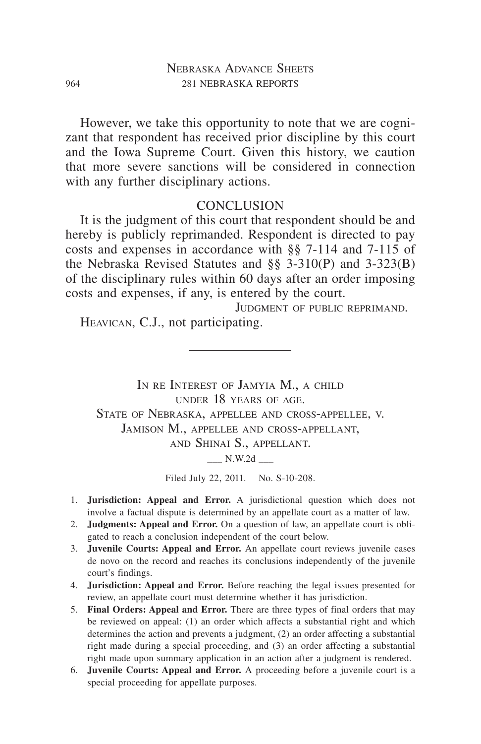However, we take this opportunity to note that we are cognizant that respondent has received prior discipline by this court and the Iowa Supreme Court. Given this history, we caution that more severe sanctions will be considered in connection with any further disciplinary actions.

#### **CONCLUSION**

It is the judgment of this court that respondent should be and hereby is publicly reprimanded. Respondent is directed to pay costs and expenses in accordance with §§ 7-114 and 7-115 of the Nebraska Revised Statutes and §§ 3-310(P) and 3-323(B) of the disciplinary rules within 60 days after an order imposing costs and expenses, if any, is entered by the court.

Judgment of public reprimand.

Heavican, C.J., not participating.

IN RE INTEREST OF JAMYIA M., A CHILD under 18 years of age. State of Nebraska, appellee and cross-appellee, v. Jamison M., appellee and cross-appellant, and Shinai S., appellant.  $\_\_$  N.W.2d  $\_\_$ 

Filed July 22, 2011. No. S-10-208.

- 1. **Jurisdiction: Appeal and Error.** A jurisdictional question which does not involve a factual dispute is determined by an appellate court as a matter of law.
- 2. **Judgments: Appeal and Error.** On a question of law, an appellate court is obligated to reach a conclusion independent of the court below.
- 3. **Juvenile Courts: Appeal and Error.** An appellate court reviews juvenile cases de novo on the record and reaches its conclusions independently of the juvenile court's findings.
- 4. **Jurisdiction: Appeal and Error.** Before reaching the legal issues presented for review, an appellate court must determine whether it has jurisdiction.
- 5. **Final Orders: Appeal and Error.** There are three types of final orders that may be reviewed on appeal: (1) an order which affects a substantial right and which determines the action and prevents a judgment, (2) an order affecting a substantial right made during a special proceeding, and (3) an order affecting a substantial right made upon summary application in an action after a judgment is rendered.
- 6. **Juvenile Courts: Appeal and Error.** A proceeding before a juvenile court is a special proceeding for appellate purposes.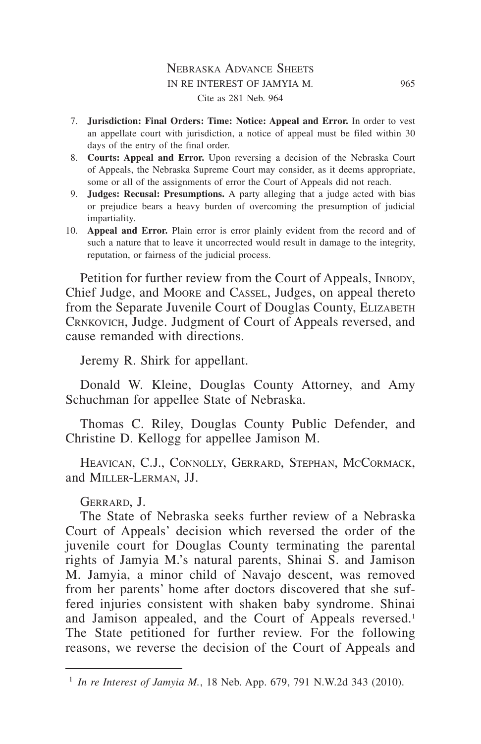#### Nebraska Advance Sheets in re interest of jamyia m. 965 Cite as 281 Neb. 964

- 7. **Jurisdiction: Final Orders: Time: Notice: Appeal and Error.** In order to vest an appellate court with jurisdiction, a notice of appeal must be filed within 30 days of the entry of the final order.
- 8. **Courts: Appeal and Error.** Upon reversing a decision of the Nebraska Court of Appeals, the Nebraska Supreme Court may consider, as it deems appropriate, some or all of the assignments of error the Court of Appeals did not reach.
- 9. **Judges: Recusal: Presumptions.** A party alleging that a judge acted with bias or prejudice bears a heavy burden of overcoming the presumption of judicial impartiality.
- 10. **Appeal and Error.** Plain error is error plainly evident from the record and of such a nature that to leave it uncorrected would result in damage to the integrity, reputation, or fairness of the judicial process.

Petition for further review from the Court of Appeals, INBODY, Chief Judge, and Moore and Cassel, Judges, on appeal thereto from the Separate Juvenile Court of Douglas County, ELIZABETH Crnkovich, Judge. Judgment of Court of Appeals reversed, and cause remanded with directions.

Jeremy R. Shirk for appellant.

Donald W. Kleine, Douglas County Attorney, and Amy Schuchman for appellee State of Nebraska.

Thomas C. Riley, Douglas County Public Defender, and Christine D. Kellogg for appellee Jamison M.

HEAVICAN, C.J., CONNOLLY, GERRARD, STEPHAN, MCCORMACK, and Miller-Lerman, JJ.

Gerrard, J.

The State of Nebraska seeks further review of a Nebraska Court of Appeals' decision which reversed the order of the juvenile court for Douglas County terminating the parental rights of Jamyia M.'s natural parents, Shinai S. and Jamison M. Jamyia, a minor child of Navajo descent, was removed from her parents' home after doctors discovered that she suffered injuries consistent with shaken baby syndrome. Shinai and Jamison appealed, and the Court of Appeals reversed.<sup>1</sup> The State petitioned for further review. For the following reasons, we reverse the decision of the Court of Appeals and

<sup>1</sup> *In re Interest of Jamyia M.*, 18 Neb. App. 679, 791 N.W.2d 343 (2010).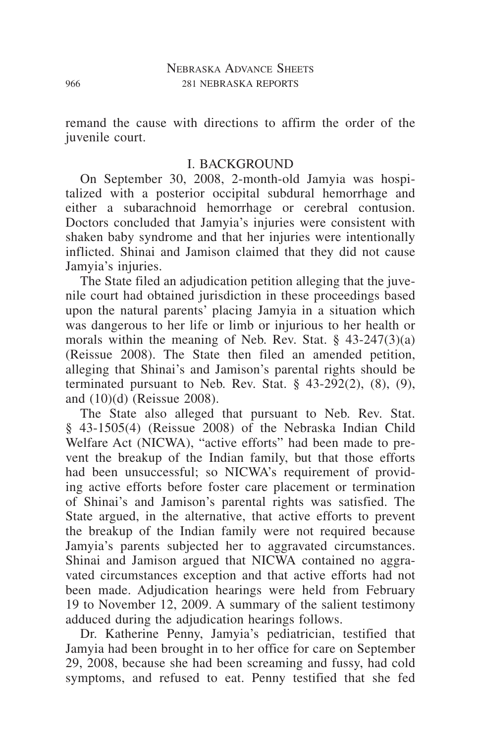remand the cause with directions to affirm the order of the juvenile court.

#### I. BACKGROUND

On September 30, 2008, 2-month-old Jamyia was hospitalized with a posterior occipital subdural hemorrhage and either a subarachnoid hemorrhage or cerebral contusion. Doctors concluded that Jamyia's injuries were consistent with shaken baby syndrome and that her injuries were intentionally inflicted. Shinai and Jamison claimed that they did not cause Jamyia's injuries.

The State filed an adjudication petition alleging that the juvenile court had obtained jurisdiction in these proceedings based upon the natural parents' placing Jamyia in a situation which was dangerous to her life or limb or injurious to her health or morals within the meaning of Neb. Rev. Stat. § 43-247(3)(a) (Reissue 2008). The State then filed an amended petition, alleging that Shinai's and Jamison's parental rights should be terminated pursuant to Neb. Rev. Stat.  $\S$  43-292(2), (8), (9), and (10)(d) (Reissue 2008).

The State also alleged that pursuant to Neb. Rev. Stat. § 43-1505(4) (Reissue 2008) of the Nebraska Indian Child Welfare Act (NICWA), "active efforts" had been made to prevent the breakup of the Indian family, but that those efforts had been unsuccessful; so NICWA's requirement of providing active efforts before foster care placement or termination of Shinai's and Jamison's parental rights was satisfied. The State argued, in the alternative, that active efforts to prevent the breakup of the Indian family were not required because Jamyia's parents subjected her to aggravated circumstances. Shinai and Jamison argued that NICWA contained no aggravated circumstances exception and that active efforts had not been made. Adjudication hearings were held from February 19 to November 12, 2009. A summary of the salient testimony adduced during the adjudication hearings follows.

Dr. Katherine Penny, Jamyia's pediatrician, testified that Jamyia had been brought in to her office for care on September 29, 2008, because she had been screaming and fussy, had cold symptoms, and refused to eat. Penny testified that she fed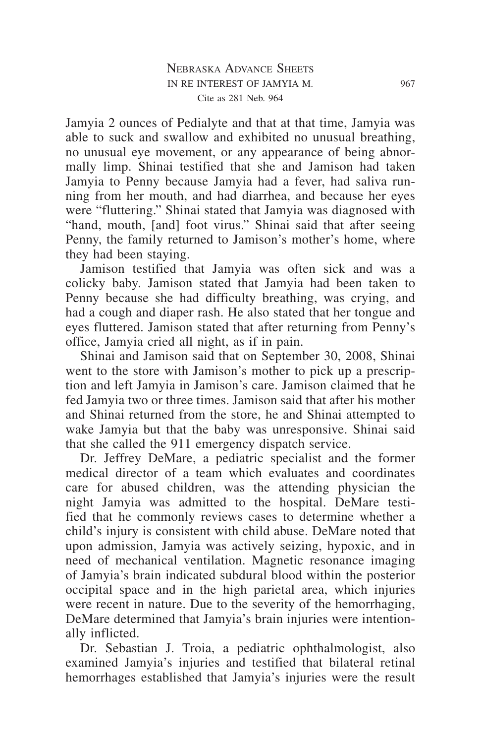Jamyia 2 ounces of Pedialyte and that at that time, Jamyia was able to suck and swallow and exhibited no unusual breathing, no unusual eye movement, or any appearance of being abnormally limp. Shinai testified that she and Jamison had taken Jamyia to Penny because Jamyia had a fever, had saliva running from her mouth, and had diarrhea, and because her eyes were "fluttering." Shinai stated that Jamyia was diagnosed with "hand, mouth, [and] foot virus." Shinai said that after seeing Penny, the family returned to Jamison's mother's home, where they had been staying.

Jamison testified that Jamyia was often sick and was a colicky baby. Jamison stated that Jamyia had been taken to Penny because she had difficulty breathing, was crying, and had a cough and diaper rash. He also stated that her tongue and eyes fluttered. Jamison stated that after returning from Penny's office, Jamyia cried all night, as if in pain.

Shinai and Jamison said that on September 30, 2008, Shinai went to the store with Jamison's mother to pick up a prescription and left Jamyia in Jamison's care. Jamison claimed that he fed Jamyia two or three times. Jamison said that after his mother and Shinai returned from the store, he and Shinai attempted to wake Jamyia but that the baby was unresponsive. Shinai said that she called the 911 emergency dispatch service.

Dr. Jeffrey DeMare, a pediatric specialist and the former medical director of a team which evaluates and coordinates care for abused children, was the attending physician the night Jamyia was admitted to the hospital. DeMare testified that he commonly reviews cases to determine whether a child's injury is consistent with child abuse. DeMare noted that upon admission, Jamyia was actively seizing, hypoxic, and in need of mechanical ventilation. Magnetic resonance imaging of Jamyia's brain indicated subdural blood within the posterior occipital space and in the high parietal area, which injuries were recent in nature. Due to the severity of the hemorrhaging, DeMare determined that Jamyia's brain injuries were intentionally inflicted.

Dr. Sebastian J. Troia, a pediatric ophthalmologist, also examined Jamyia's injuries and testified that bilateral retinal hemorrhages established that Jamyia's injuries were the result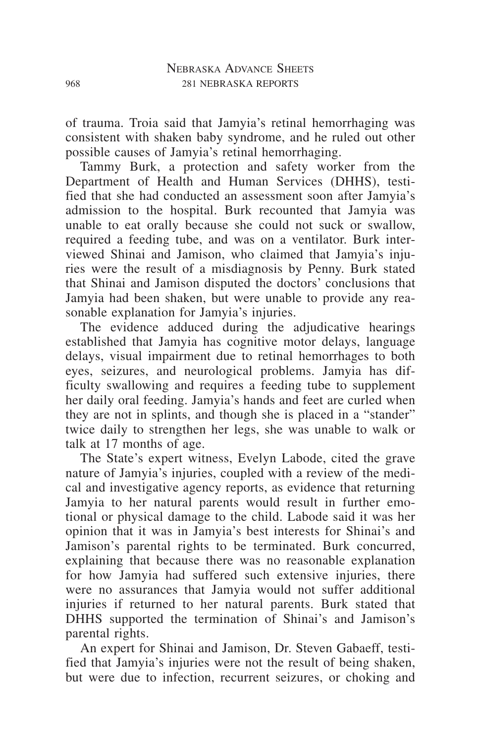of trauma. Troia said that Jamyia's retinal hemorrhaging was consistent with shaken baby syndrome, and he ruled out other possible causes of Jamyia's retinal hemorrhaging.

Tammy Burk, a protection and safety worker from the Department of Health and Human Services (DHHS), testified that she had conducted an assessment soon after Jamyia's admission to the hospital. Burk recounted that Jamyia was unable to eat orally because she could not suck or swallow, required a feeding tube, and was on a ventilator. Burk interviewed Shinai and Jamison, who claimed that Jamyia's injuries were the result of a misdiagnosis by Penny. Burk stated that Shinai and Jamison disputed the doctors' conclusions that Jamyia had been shaken, but were unable to provide any reasonable explanation for Jamyia's injuries.

The evidence adduced during the adjudicative hearings established that Jamyia has cognitive motor delays, language delays, visual impairment due to retinal hemorrhages to both eyes, seizures, and neurological problems. Jamyia has difficulty swallowing and requires a feeding tube to supplement her daily oral feeding. Jamyia's hands and feet are curled when they are not in splints, and though she is placed in a "stander" twice daily to strengthen her legs, she was unable to walk or talk at 17 months of age.

The State's expert witness, Evelyn Labode, cited the grave nature of Jamyia's injuries, coupled with a review of the medical and investigative agency reports, as evidence that returning Jamyia to her natural parents would result in further emotional or physical damage to the child. Labode said it was her opinion that it was in Jamyia's best interests for Shinai's and Jamison's parental rights to be terminated. Burk concurred, explaining that because there was no reasonable explanation for how Jamyia had suffered such extensive injuries, there were no assurances that Jamyia would not suffer additional injuries if returned to her natural parents. Burk stated that DHHS supported the termination of Shinai's and Jamison's parental rights.

An expert for Shinai and Jamison, Dr. Steven Gabaeff, testified that Jamyia's injuries were not the result of being shaken, but were due to infection, recurrent seizures, or choking and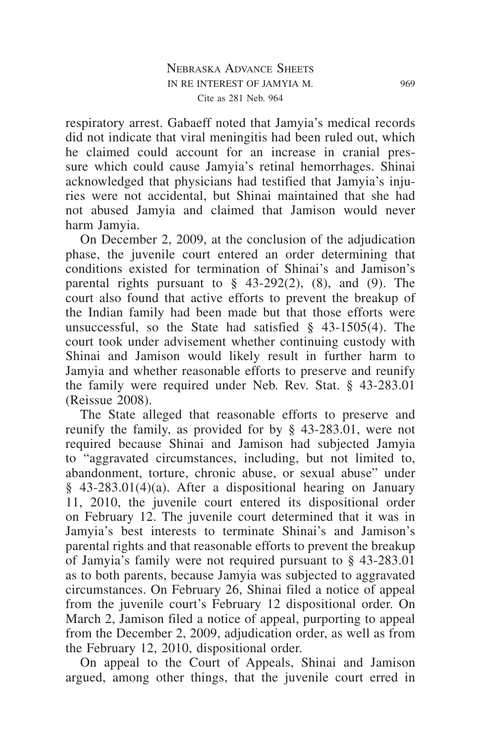respiratory arrest. Gabaeff noted that Jamyia's medical records did not indicate that viral meningitis had been ruled out, which he claimed could account for an increase in cranial pressure which could cause Jamyia's retinal hemorrhages. Shinai acknowledged that physicians had testified that Jamyia's injuries were not accidental, but Shinai maintained that she had not abused Jamyia and claimed that Jamison would never harm Jamyia.

On December 2, 2009, at the conclusion of the adjudication phase, the juvenile court entered an order determining that conditions existed for termination of Shinai's and Jamison's parental rights pursuant to  $\S$  43-292(2), (8), and (9). The court also found that active efforts to prevent the breakup of the Indian family had been made but that those efforts were unsuccessful, so the State had satisfied § 43-1505(4). The court took under advisement whether continuing custody with Shinai and Jamison would likely result in further harm to Jamyia and whether reasonable efforts to preserve and reunify the family were required under Neb. Rev. Stat. § 43-283.01 (Reissue 2008).

The State alleged that reasonable efforts to preserve and reunify the family, as provided for by § 43-283.01, were not required because Shinai and Jamison had subjected Jamyia to "aggravated circumstances, including, but not limited to, abandonment, torture, chronic abuse, or sexual abuse" under § 43-283.01(4)(a). After a dispositional hearing on January 11, 2010, the juvenile court entered its dispositional order on February 12. The juvenile court determined that it was in Jamyia's best interests to terminate Shinai's and Jamison's parental rights and that reasonable efforts to prevent the breakup of Jamyia's family were not required pursuant to § 43-283.01 as to both parents, because Jamyia was subjected to aggravated circumstances. On February 26, Shinai filed a notice of appeal from the juvenile court's February 12 dispositional order. On March 2, Jamison filed a notice of appeal, purporting to appeal from the December 2, 2009, adjudication order, as well as from the February 12, 2010, dispositional order.

On appeal to the Court of Appeals, Shinai and Jamison argued, among other things, that the juvenile court erred in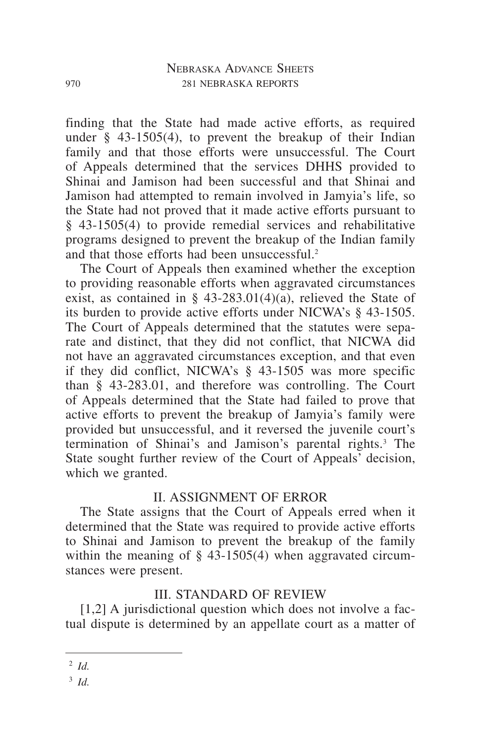finding that the State had made active efforts, as required under  $\S$  43-1505(4), to prevent the breakup of their Indian family and that those efforts were unsuccessful. The Court of Appeals determined that the services DHHS provided to Shinai and Jamison had been successful and that Shinai and Jamison had attempted to remain involved in Jamyia's life, so the State had not proved that it made active efforts pursuant to § 43-1505(4) to provide remedial services and rehabilitative programs designed to prevent the breakup of the Indian family and that those efforts had been unsuccessful.2

The Court of Appeals then examined whether the exception to providing reasonable efforts when aggravated circumstances exist, as contained in § 43-283.01(4)(a), relieved the State of its burden to provide active efforts under NICWA's § 43-1505. The Court of Appeals determined that the statutes were separate and distinct, that they did not conflict, that NICWA did not have an aggravated circumstances exception, and that even if they did conflict, NICWA's § 43-1505 was more specific than § 43-283.01, and therefore was controlling. The Court of Appeals determined that the State had failed to prove that active efforts to prevent the breakup of Jamyia's family were provided but unsuccessful, and it reversed the juvenile court's termination of Shinai's and Jamison's parental rights.3 The State sought further review of the Court of Appeals' decision, which we granted.

## II. ASSIGNMENT OF ERROR

The State assigns that the Court of Appeals erred when it determined that the State was required to provide active efforts to Shinai and Jamison to prevent the breakup of the family within the meaning of  $\S$  43-1505(4) when aggravated circumstances were present.

# III. STANDARD OF REVIEW

[1,2] A jurisdictional question which does not involve a factual dispute is determined by an appellate court as a matter of

<sup>3</sup> *Id.*

<sup>2</sup> *Id.*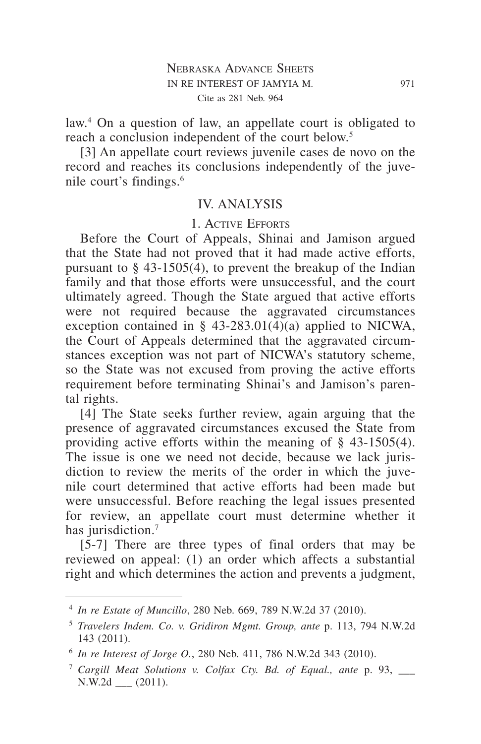law.<sup>4</sup> On a question of law, an appellate court is obligated to reach a conclusion independent of the court below.<sup>5</sup>

[3] An appellate court reviews juvenile cases de novo on the record and reaches its conclusions independently of the juvenile court's findings.6

#### IV. ANALYSIS

#### 1. Active Efforts

Before the Court of Appeals, Shinai and Jamison argued that the State had not proved that it had made active efforts, pursuant to § 43-1505(4), to prevent the breakup of the Indian family and that those efforts were unsuccessful, and the court ultimately agreed. Though the State argued that active efforts were not required because the aggravated circumstances exception contained in § 43-283.01(4)(a) applied to NICWA, the Court of Appeals determined that the aggravated circumstances exception was not part of NICWA's statutory scheme, so the State was not excused from proving the active efforts requirement before terminating Shinai's and Jamison's parental rights.

[4] The State seeks further review, again arguing that the presence of aggravated circumstances excused the State from providing active efforts within the meaning of § 43-1505(4). The issue is one we need not decide, because we lack jurisdiction to review the merits of the order in which the juvenile court determined that active efforts had been made but were unsuccessful. Before reaching the legal issues presented for review, an appellate court must determine whether it has jurisdiction.<sup>7</sup>

[5-7] There are three types of final orders that may be reviewed on appeal: (1) an order which affects a substantial right and which determines the action and prevents a judgment,

<sup>4</sup> *In re Estate of Muncillo*, 280 Neb. 669, 789 N.W.2d 37 (2010).

<sup>5</sup> *Travelers Indem. Co. v. Gridiron Mgmt. Group, ante* p. 113, 794 N.W.2d 143 (2011).

<sup>6</sup> *In re Interest of Jorge O.*, 280 Neb. 411, 786 N.W.2d 343 (2010).

<sup>7</sup> *Cargill Meat Solutions v. Colfax Cty. Bd. of Equal., ante* p. 93, \_\_\_ N.W.2d \_\_\_ (2011).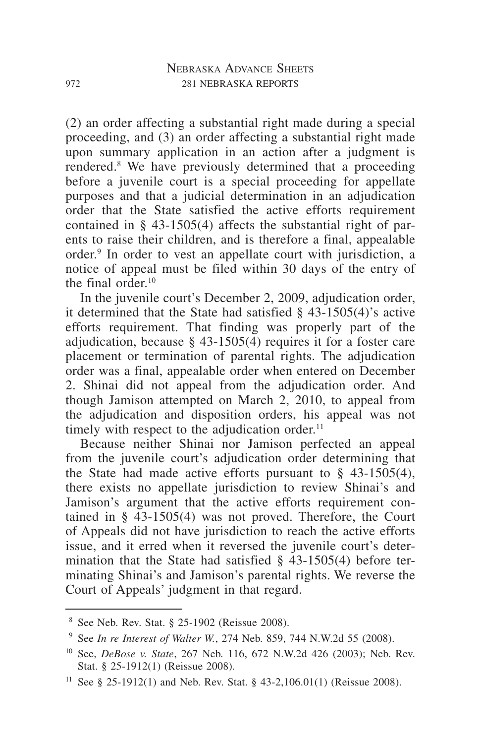(2) an order affecting a substantial right made during a special proceeding, and (3) an order affecting a substantial right made upon summary application in an action after a judgment is rendered.8 We have previously determined that a proceeding before a juvenile court is a special proceeding for appellate purposes and that a judicial determination in an adjudication order that the State satisfied the active efforts requirement contained in § 43-1505(4) affects the substantial right of parents to raise their children, and is therefore a final, appealable order.9 In order to vest an appellate court with jurisdiction, a notice of appeal must be filed within 30 days of the entry of the final order.<sup>10</sup>

In the juvenile court's December 2, 2009, adjudication order, it determined that the State had satisfied § 43-1505(4)'s active efforts requirement. That finding was properly part of the adjudication, because § 43-1505(4) requires it for a foster care placement or termination of parental rights. The adjudication order was a final, appealable order when entered on December 2. Shinai did not appeal from the adjudication order. And though Jamison attempted on March 2, 2010, to appeal from the adjudication and disposition orders, his appeal was not timely with respect to the adjudication order. $11$ 

Because neither Shinai nor Jamison perfected an appeal from the juvenile court's adjudication order determining that the State had made active efforts pursuant to  $\S$  43-1505(4), there exists no appellate jurisdiction to review Shinai's and Jamison's argument that the active efforts requirement contained in § 43-1505(4) was not proved. Therefore, the Court of Appeals did not have jurisdiction to reach the active efforts issue, and it erred when it reversed the juvenile court's determination that the State had satisfied  $\S$  43-1505(4) before terminating Shinai's and Jamison's parental rights. We reverse the Court of Appeals' judgment in that regard.

<sup>8</sup> See Neb. Rev. Stat. § 25-1902 (Reissue 2008).

<sup>9</sup> See *In re Interest of Walter W.*, 274 Neb. 859, 744 N.W.2d 55 (2008).

<sup>10</sup> See, *DeBose v. State*, 267 Neb. 116, 672 N.W.2d 426 (2003); Neb. Rev. Stat. § 25-1912(1) (Reissue 2008).

<sup>&</sup>lt;sup>11</sup> See § 25-1912(1) and Neb. Rev. Stat. § 43-2,106.01(1) (Reissue 2008).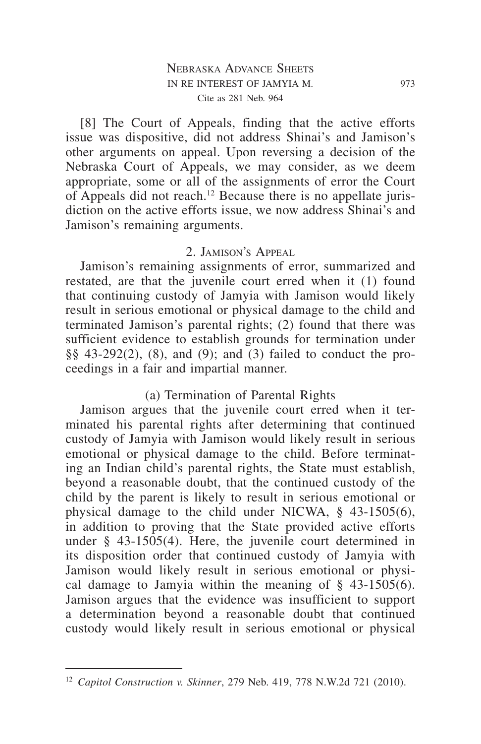#### Nebraska Advance Sheets in re interest of jamyia m. 973 Cite as 281 Neb. 964

[8] The Court of Appeals, finding that the active efforts issue was dispositive, did not address Shinai's and Jamison's other arguments on appeal. Upon reversing a decision of the Nebraska Court of Appeals, we may consider, as we deem appropriate, some or all of the assignments of error the Court of Appeals did not reach.12 Because there is no appellate jurisdiction on the active efforts issue, we now address Shinai's and Jamison's remaining arguments.

#### 2. Jamison's Appeal

Jamison's remaining assignments of error, summarized and restated, are that the juvenile court erred when it (1) found that continuing custody of Jamyia with Jamison would likely result in serious emotional or physical damage to the child and terminated Jamison's parental rights; (2) found that there was sufficient evidence to establish grounds for termination under §§ 43-292(2), (8), and (9); and (3) failed to conduct the proceedings in a fair and impartial manner.

## (a) Termination of Parental Rights

Jamison argues that the juvenile court erred when it terminated his parental rights after determining that continued custody of Jamyia with Jamison would likely result in serious emotional or physical damage to the child. Before terminating an Indian child's parental rights, the State must establish, beyond a reasonable doubt, that the continued custody of the child by the parent is likely to result in serious emotional or physical damage to the child under NICWA, § 43-1505(6), in addition to proving that the State provided active efforts under § 43-1505(4). Here, the juvenile court determined in its disposition order that continued custody of Jamyia with Jamison would likely result in serious emotional or physical damage to Jamyia within the meaning of § 43-1505(6). Jamison argues that the evidence was insufficient to support a determination beyond a reasonable doubt that continued custody would likely result in serious emotional or physical

<sup>12</sup> *Capitol Construction v. Skinner*, 279 Neb. 419, 778 N.W.2d 721 (2010).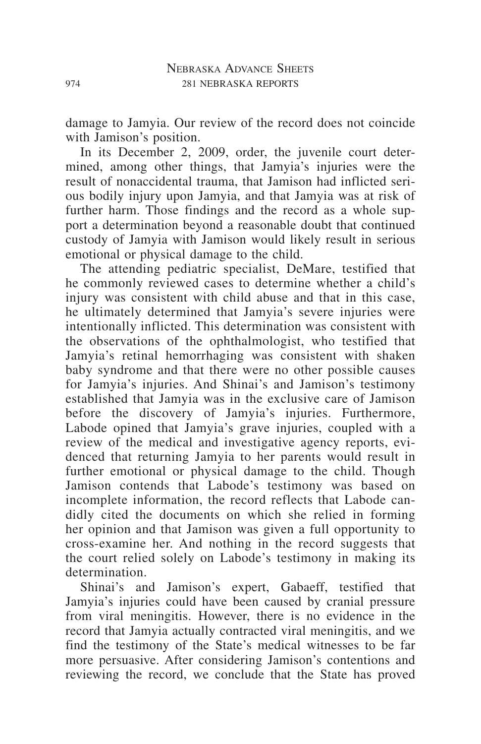damage to Jamyia. Our review of the record does not coincide with Jamison's position.

In its December 2, 2009, order, the juvenile court determined, among other things, that Jamyia's injuries were the result of nonaccidental trauma, that Jamison had inflicted serious bodily injury upon Jamyia, and that Jamyia was at risk of further harm. Those findings and the record as a whole support a determination beyond a reasonable doubt that continued custody of Jamyia with Jamison would likely result in serious emotional or physical damage to the child.

The attending pediatric specialist, DeMare, testified that he commonly reviewed cases to determine whether a child's injury was consistent with child abuse and that in this case, he ultimately determined that Jamyia's severe injuries were intentionally inflicted. This determination was consistent with the observations of the ophthalmologist, who testified that Jamyia's retinal hemorrhaging was consistent with shaken baby syndrome and that there were no other possible causes for Jamyia's injuries. And Shinai's and Jamison's testimony established that Jamyia was in the exclusive care of Jamison before the discovery of Jamyia's injuries. Furthermore, Labode opined that Jamyia's grave injuries, coupled with a review of the medical and investigative agency reports, evidenced that returning Jamyia to her parents would result in further emotional or physical damage to the child. Though Jamison contends that Labode's testimony was based on incomplete information, the record reflects that Labode candidly cited the documents on which she relied in forming her opinion and that Jamison was given a full opportunity to cross-examine her. And nothing in the record suggests that the court relied solely on Labode's testimony in making its determination.

Shinai's and Jamison's expert, Gabaeff, testified that Jamyia's injuries could have been caused by cranial pressure from viral meningitis. However, there is no evidence in the record that Jamyia actually contracted viral meningitis, and we find the testimony of the State's medical witnesses to be far more persuasive. After considering Jamison's contentions and reviewing the record, we conclude that the State has proved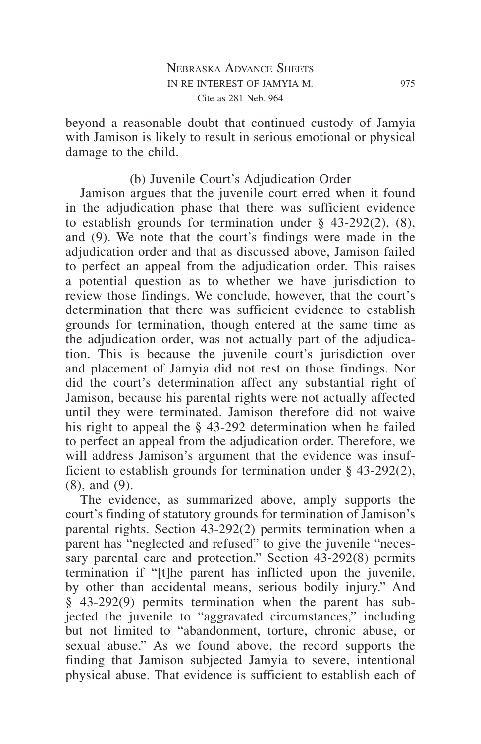beyond a reasonable doubt that continued custody of Jamyia with Jamison is likely to result in serious emotional or physical damage to the child.

# (b) Juvenile Court's Adjudication Order

Jamison argues that the juvenile court erred when it found in the adjudication phase that there was sufficient evidence to establish grounds for termination under  $\S$  43-292(2), (8), and (9). We note that the court's findings were made in the adjudication order and that as discussed above, Jamison failed to perfect an appeal from the adjudication order. This raises a potential question as to whether we have jurisdiction to review those findings. We conclude, however, that the court's determination that there was sufficient evidence to establish grounds for termination, though entered at the same time as the adjudication order, was not actually part of the adjudication. This is because the juvenile court's jurisdiction over and placement of Jamyia did not rest on those findings. Nor did the court's determination affect any substantial right of Jamison, because his parental rights were not actually affected until they were terminated. Jamison therefore did not waive his right to appeal the § 43-292 determination when he failed to perfect an appeal from the adjudication order. Therefore, we will address Jamison's argument that the evidence was insufficient to establish grounds for termination under § 43-292(2), (8), and (9).

The evidence, as summarized above, amply supports the court's finding of statutory grounds for termination of Jamison's parental rights. Section 43-292(2) permits termination when a parent has "neglected and refused" to give the juvenile "necessary parental care and protection." Section 43-292(8) permits termination if "[t]he parent has inflicted upon the juvenile, by other than accidental means, serious bodily injury." And § 43-292(9) permits termination when the parent has subjected the juvenile to "aggravated circumstances," including but not limited to "abandonment, torture, chronic abuse, or sexual abuse." As we found above, the record supports the finding that Jamison subjected Jamyia to severe, intentional physical abuse. That evidence is sufficient to establish each of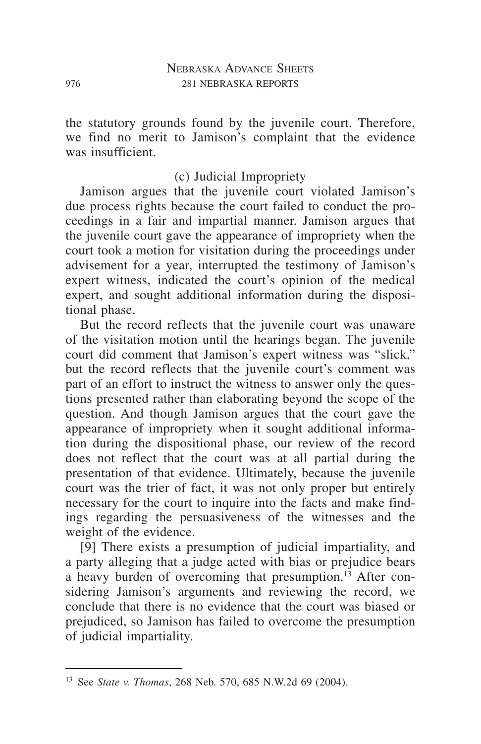the statutory grounds found by the juvenile court. Therefore, we find no merit to Jamison's complaint that the evidence was insufficient.

# (c) Judicial Impropriety

Jamison argues that the juvenile court violated Jamison's due process rights because the court failed to conduct the proceedings in a fair and impartial manner. Jamison argues that the juvenile court gave the appearance of impropriety when the court took a motion for visitation during the proceedings under advisement for a year, interrupted the testimony of Jamison's expert witness, indicated the court's opinion of the medical expert, and sought additional information during the dispositional phase.

But the record reflects that the juvenile court was unaware of the visitation motion until the hearings began. The juvenile court did comment that Jamison's expert witness was "slick," but the record reflects that the juvenile court's comment was part of an effort to instruct the witness to answer only the questions presented rather than elaborating beyond the scope of the question. And though Jamison argues that the court gave the appearance of impropriety when it sought additional information during the dispositional phase, our review of the record does not reflect that the court was at all partial during the presentation of that evidence. Ultimately, because the juvenile court was the trier of fact, it was not only proper but entirely necessary for the court to inquire into the facts and make findings regarding the persuasiveness of the witnesses and the weight of the evidence.

[9] There exists a presumption of judicial impartiality, and a party alleging that a judge acted with bias or prejudice bears a heavy burden of overcoming that presumption.<sup>13</sup> After considering Jamison's arguments and reviewing the record, we conclude that there is no evidence that the court was biased or prejudiced, so Jamison has failed to overcome the presumption of judicial impartiality.

<sup>13</sup> See *State v. Thomas*, 268 Neb. 570, 685 N.W.2d 69 (2004).